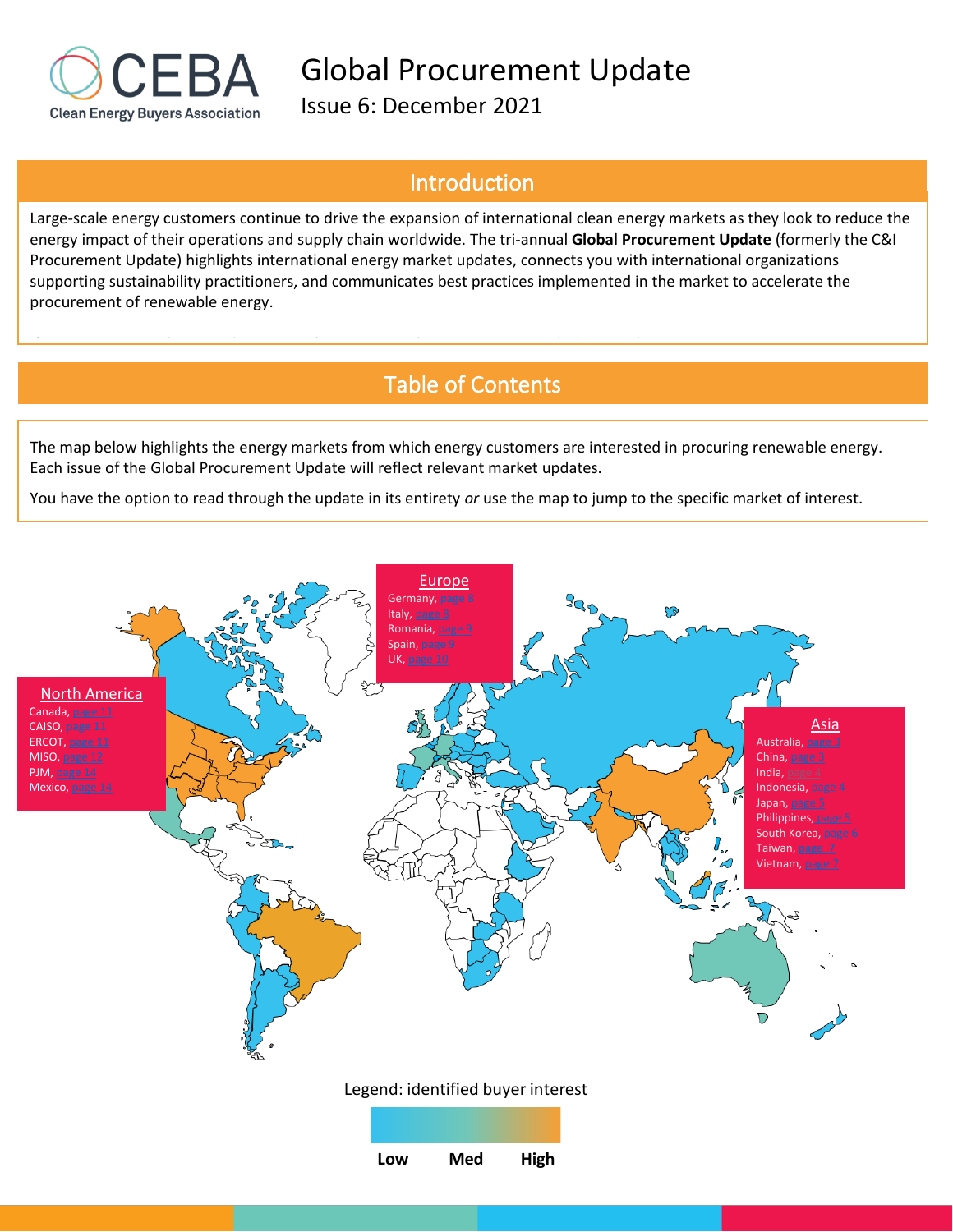

Issue 6: December 2021

If you are interested in providing input, please contact the CEBA team: [supplychain@cebuyers.org](mailto:supplychain@cebuyers.org)

# Introduction

Large-scale energy customers continue to drive the expansion of international clean energy markets as they look to reduce the energy impact of their operations and supply chain worldwide. The tri-annual **Global Procurement Update** (formerly the C&I Procurement Update) highlights international energy market updates, connects you with international organizations supporting sustainability practitioners, and communicates best practices implemented in the market to accelerate the procurement of renewable energy.

# Table of Contents

The map below highlights the energy markets from which energy customers are interested in procuring renewable energy. Each issue of the Global Procurement Update will reflect relevant market updates.

You have the option to read through the update in its entirety *or* use the map to jump to the specific market of interest.

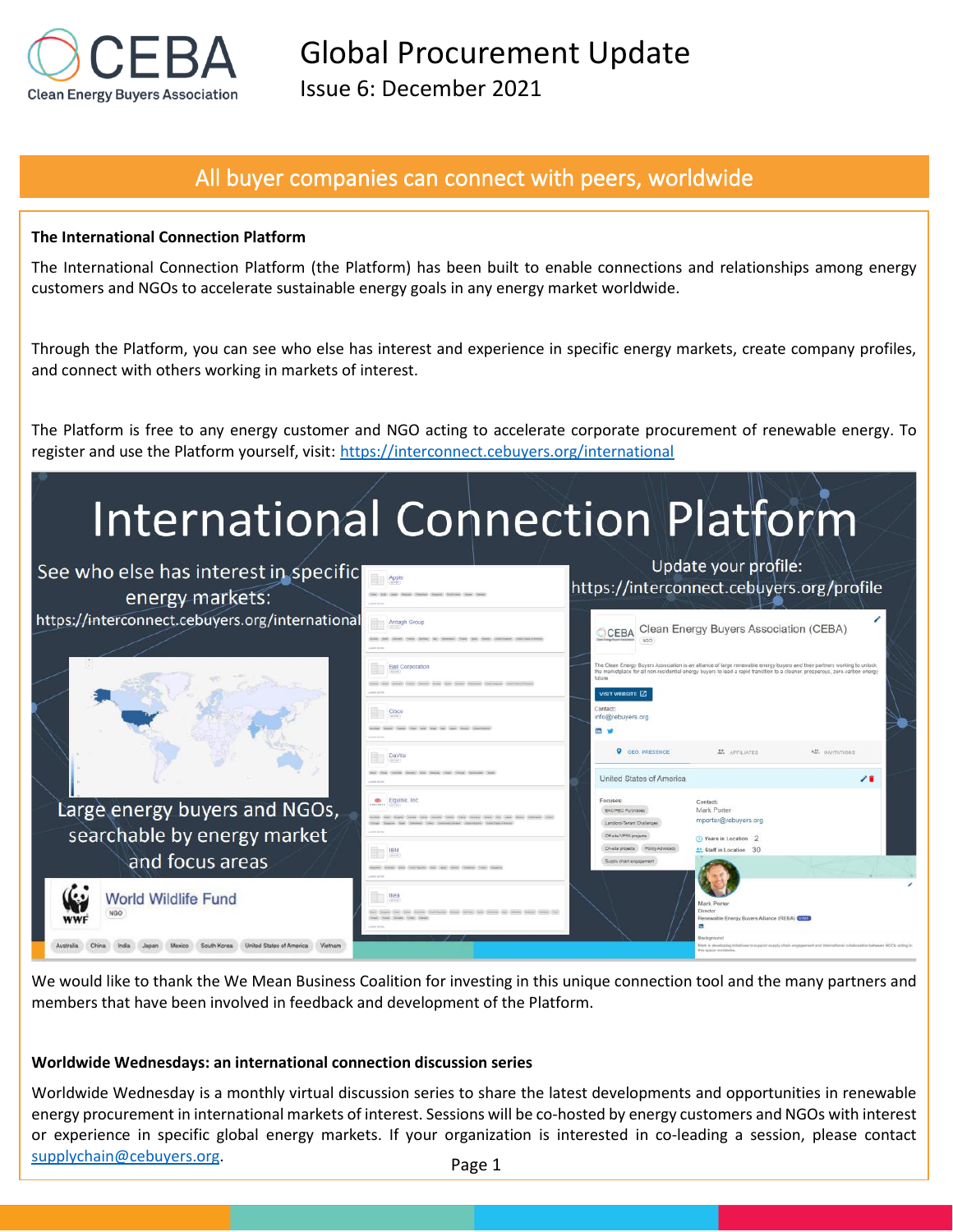

Issue 6: December 2021

# All buyer companies can connect with peers, worldwide

### **The International Connection Platform**

The International Connection Platform (the Platform) has been built to enable connections and relationships among energy customers and NGOs to accelerate sustainable energy goals in any energy market worldwide.

Through the Platform, you can see who else has interest and experience in specific energy markets, create company profiles, and connect with others working in markets of interest.

The Platform is free to any energy customer and NGO acting to accelerate corporate procurement of renewable energy. To register and use the Platform yourself, visit: <https://interconnect.cebuyers.org/international>

# **International Connection Platform**



We would like to thank the We Mean Business Coalition for investing in this unique connection tool and the many partners and members that have been involved in feedback and development of the Platform.

### **Worldwide Wednesdays: an international connection discussion series**

Worldwide Wednesday is a monthly virtual discussion series to share the latest developments and opportunities in renewable energy procurement in international markets of interest. Sessions will be co-hosted by energy customers and NGOs with interest or experience in specific global energy markets. If your organization is interested in co-leading a session, please contact [supplychain@cebuyers.org.](mailto:supplychain@cebuyers.org)

Page 1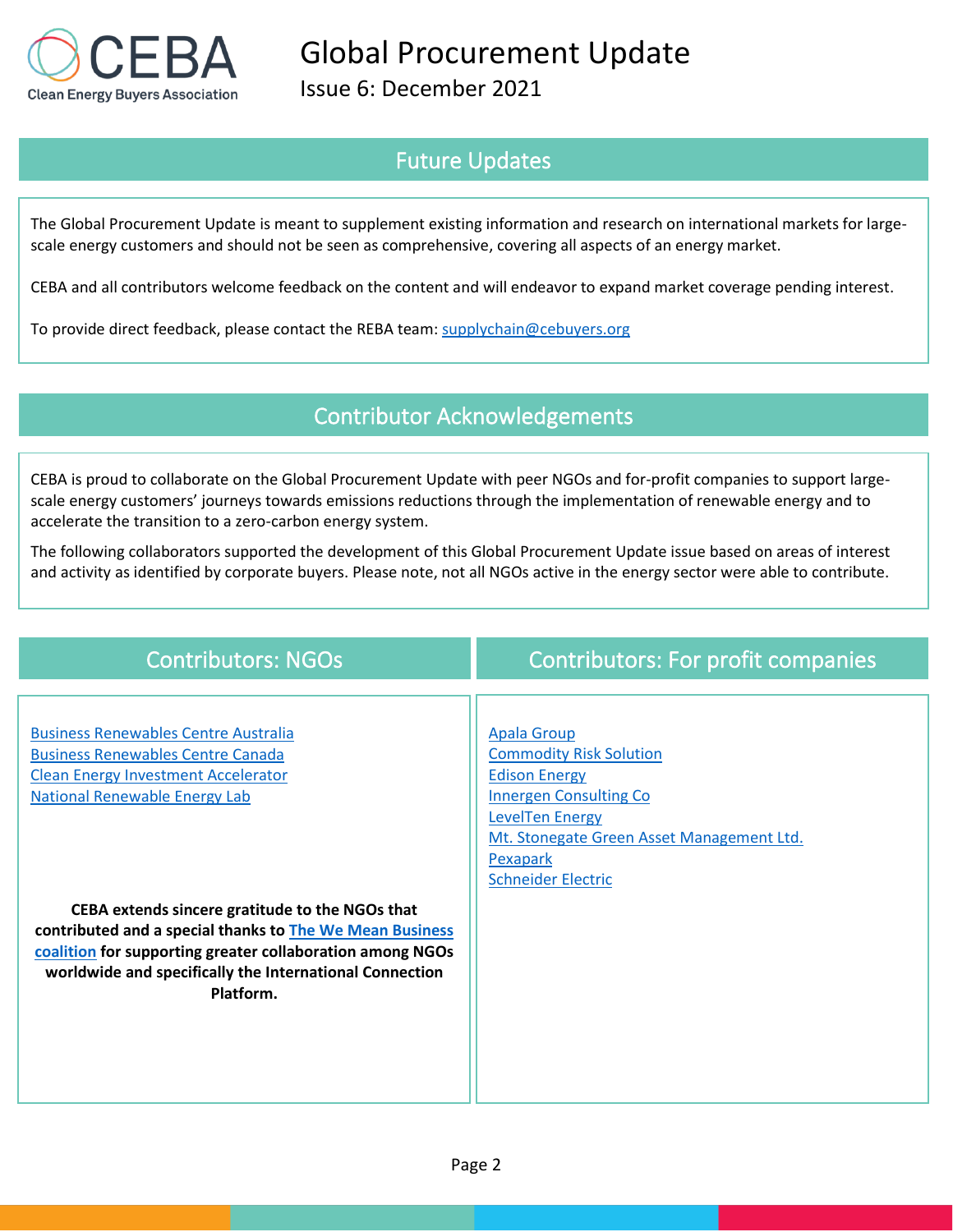

Issue 6: December 2021

# Future Updates

The Global Procurement Update is meant to supplement existing information and research on international markets for largescale energy customers and should not be seen as comprehensive, covering all aspects of an energy market.

CEBA and all contributors welcome feedback on the content and will endeavor to expand market coverage pending interest.

To provide direct feedback, please contact the REBA team: [supplychain@cebuyers.org](mailto:supplychain@cebuyers.org)

# Contributor Acknowledgements

CEBA is proud to collaborate on the Global Procurement Update with peer NGOs and for-profit companies to support largescale energy customers' journeys towards emissions reductions through the implementation of renewable energy and to accelerate the transition to a zero-carbon energy system.

The following collaborators supported the development of this Global Procurement Update issue based on areas of interest and activity as identified by corporate buyers. Please note, not all NGOs active in the energy sector were able to contribute.

| <b>Contributors: NGOs</b>                                                                                                                                                                                                                        | <b>Contributors: For profit companies</b>                                                                                                                                                                                     |
|--------------------------------------------------------------------------------------------------------------------------------------------------------------------------------------------------------------------------------------------------|-------------------------------------------------------------------------------------------------------------------------------------------------------------------------------------------------------------------------------|
| <b>Business Renewables Centre Australia</b><br><b>Business Renewables Centre Canada</b><br><b>Clean Energy Investment Accelerator</b><br><b>National Renewable Energy Lab</b>                                                                    | <b>Apala Group</b><br><b>Commodity Risk Solution</b><br><b>Edison Energy</b><br><b>Innergen Consulting Co</b><br><b>LevelTen Energy</b><br>Mt. Stonegate Green Asset Management Ltd.<br>Pexapark<br><b>Schneider Electric</b> |
| CEBA extends sincere gratitude to the NGOs that<br>contributed and a special thanks to The We Mean Business<br>coalition for supporting greater collaboration among NGOs<br>worldwide and specifically the International Connection<br>Platform. |                                                                                                                                                                                                                               |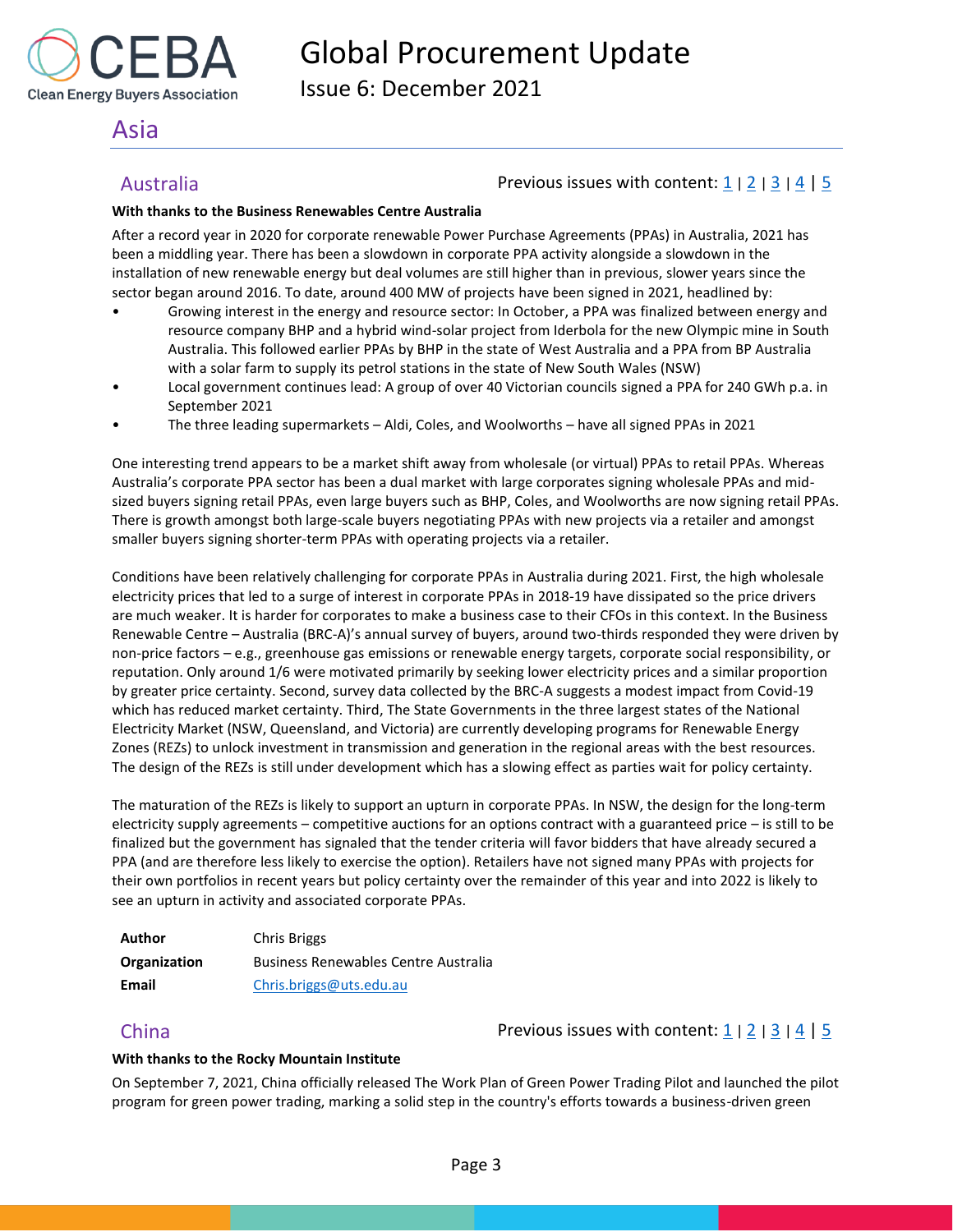

Issue 6: December 2021

# <span id="page-3-0"></span>Asia

# <span id="page-3-1"></span>Australia Previous issues with content: [1](https://reba2019dev.wpengine.com/wp-content/uploads/2020/02/REBA-CI-Procurement-Update_Feb-2020-1.pdf) <sup>|</sup>[2](https://rebuyers.org/wp-content/uploads/2020/07/C_I_Procurement_Update_Issue_2.pdf) <sup>|</sup>[3](https://documentcloud.adobe.com/link/track?uri=urn:aaid:scds:US:6601ed7a-4da4-4e40-8b34-921171ec412a#pageNum=1) <sup>|</sup>[4](https://rebuyers.org/wp-content/uploads/2021/03/REBA_C_I_Procurement_Update_02_21.pdf) | [5](https://cebuyers.org/wp-content/uploads/2021/07/C.I.Procurement.Update_Issue.5.pdf)

## **With thanks to the Business Renewables Centre Australia**

After a record year in 2020 for corporate renewable Power Purchase Agreements (PPAs) in Australia, 2021 has been a middling year. There has been a slowdown in corporate PPA activity alongside a slowdown in the installation of new renewable energy but deal volumes are still higher than in previous, slower years since the sector began around 2016. To date, around 400 MW of projects have been signed in 2021, headlined by:

- Growing interest in the energy and resource sector: In October, a PPA was finalized between energy and resource company BHP and a hybrid wind-solar project from Iderbola for the new Olympic mine in South Australia. This followed earlier PPAs by BHP in the state of West Australia and a PPA from BP Australia with a solar farm to supply its petrol stations in the state of New South Wales (NSW)
- Local government continues lead: A group of over 40 Victorian councils signed a PPA for 240 GWh p.a. in September 2021
- The three leading supermarkets Aldi, Coles, and Woolworths have all signed PPAs in 2021

One interesting trend appears to be a market shift away from wholesale (or virtual) PPAs to retail PPAs. Whereas Australia's corporate PPA sector has been a dual market with large corporates signing wholesale PPAs and midsized buyers signing retail PPAs, even large buyers such as BHP, Coles, and Woolworths are now signing retail PPAs. There is growth amongst both large-scale buyers negotiating PPAs with new projects via a retailer and amongst smaller buyers signing shorter-term PPAs with operating projects via a retailer.

Conditions have been relatively challenging for corporate PPAs in Australia during 2021. First, the high wholesale electricity prices that led to a surge of interest in corporate PPAs in 2018-19 have dissipated so the price drivers are much weaker. It is harder for corporates to make a business case to their CFOs in this context. In the Business Renewable Centre – Australia (BRC-A)'s annual survey of buyers, around two-thirds responded they were driven by non-price factors – e.g., greenhouse gas emissions or renewable energy targets, corporate social responsibility, or reputation. Only around 1/6 were motivated primarily by seeking lower electricity prices and a similar proportion by greater price certainty. Second, survey data collected by the BRC-A suggests a modest impact from Covid-19 which has reduced market certainty. Third, The State Governments in the three largest states of the National Electricity Market (NSW, Queensland, and Victoria) are currently developing programs for Renewable Energy Zones (REZs) to unlock investment in transmission and generation in the regional areas with the best resources. The design of the REZs is still under development which has a slowing effect as parties wait for policy certainty.

The maturation of the REZs is likely to support an upturn in corporate PPAs. In NSW, the design for the long-term electricity supply agreements – competitive auctions for an options contract with a guaranteed price – is still to be finalized but the government has signaled that the tender criteria will favor bidders that have already secured a PPA (and are therefore less likely to exercise the option). Retailers have not signed many PPAs with projects for their own portfolios in recent years but policy certainty over the remainder of this year and into 2022 is likely to see an upturn in activity and associated corporate PPAs.

| Author       | Chris Briggs                                |
|--------------|---------------------------------------------|
| Organization | <b>Business Renewables Centre Australia</b> |
| Email        | Chris.briggs@uts.edu.au                     |

<span id="page-3-2"></span>China **Previous issues with content:**  $\frac{1}{2}$  $\frac{1}{2}$  $\frac{1}{2}$  |  $\frac{3}{4}$  $\frac{3}{4}$  $\frac{3}{4}$  $\frac{3}{4}$  $\frac{3}{4}$  |  $\frac{4}{5}$ 

## **With thanks to the Rocky Mountain Institute**

On September 7, 2021, China officially released The Work Plan of Green Power Trading Pilot and launched the pilot program for green power trading, marking a solid step in the country's efforts towards a business-driven green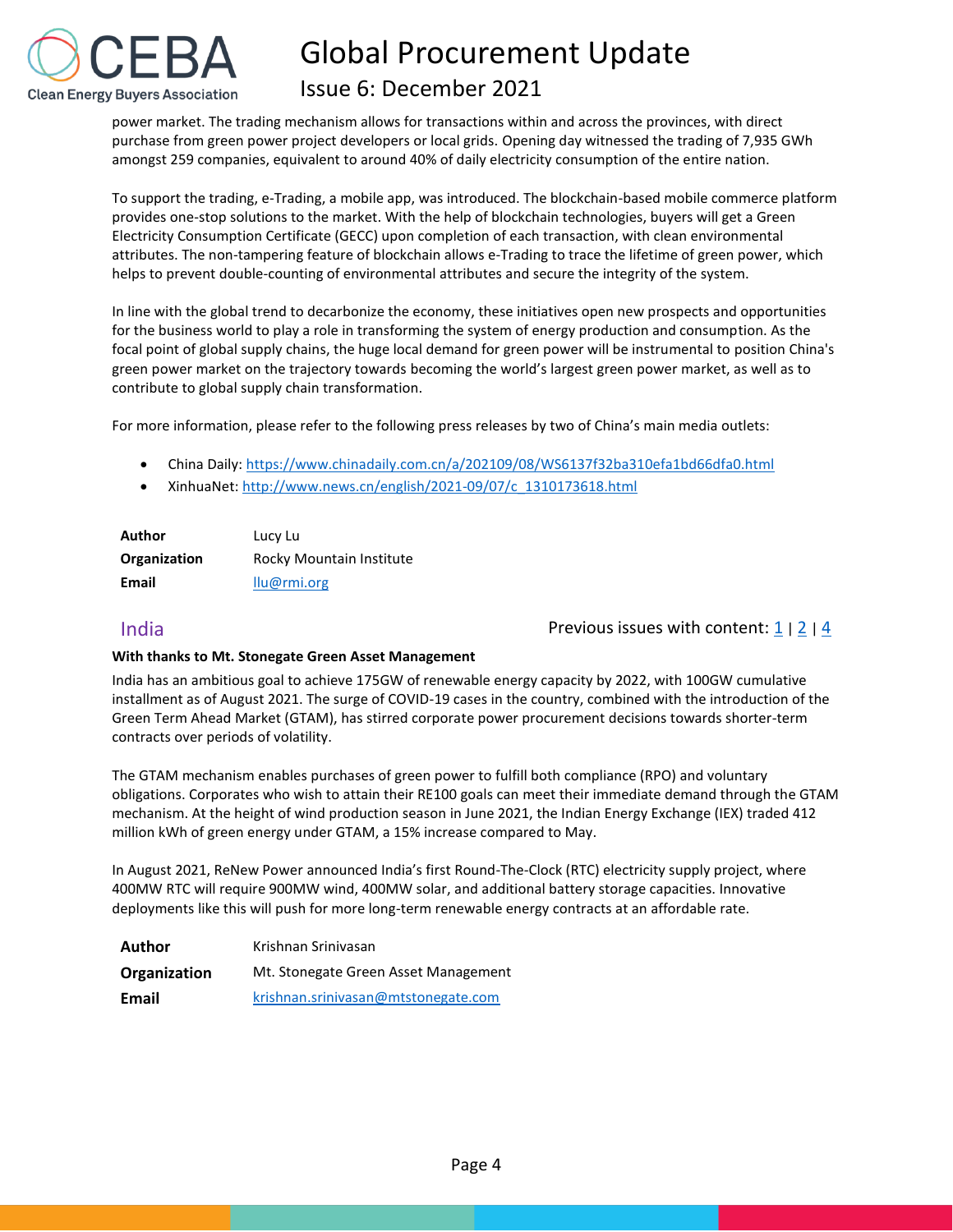

# Issue 6: December 2021

power market. The trading mechanism allows for transactions within and across the provinces, with direct purchase from green power project developers or local grids. Opening day witnessed the trading of 7,935 GWh amongst 259 companies, equivalent to around 40% of daily electricity consumption of the entire nation.

To support the trading, e-Trading, a mobile app, was introduced. The blockchain-based mobile commerce platform provides one-stop solutions to the market. With the help of blockchain technologies, buyers will get a Green Electricity Consumption Certificate (GECC) upon completion of each transaction, with clean environmental attributes. The non-tampering feature of blockchain allows e-Trading to trace the lifetime of green power, which helps to prevent double-counting of environmental attributes and secure the integrity of the system.

In line with the global trend to decarbonize the economy, these initiatives open new prospects and opportunities for the business world to play a role in transforming the system of energy production and consumption. As the focal point of global supply chains, the huge local demand for green power will be instrumental to position China's green power market on the trajectory towards becoming the world's largest green power market, as well as to contribute to global supply chain transformation.

For more information, please refer to the following press releases by two of China's main media outlets:

- China Daily:<https://www.chinadaily.com.cn/a/202109/08/WS6137f32ba310efa1bd66dfa0.html>
- XinhuaNet: [http://www.news.cn/english/2021-09/07/c\\_1310173618.html](http://www.news.cn/english/2021-09/07/c_1310173618.html)

| Author       | Lucy Lu                  |
|--------------|--------------------------|
| Organization | Rocky Mountain Institute |
| Email        | llu@rmi.org              |

<span id="page-4-0"></span>India Previous issues with content: [1](https://reba2019dev.wpengine.com/wp-content/uploads/2020/02/REBA-CI-Procurement-Update_Feb-2020-1.pdf) <sup>|</sup>[2](https://rebuyers.org/wp-content/uploads/2020/07/C_I_Procurement_Update_Issue_2.pdf) <sup>|</sup>[4](https://rebuyers.org/wp-content/uploads/2021/03/REBA_C_I_Procurement_Update_02_21.pdf)

## **With thanks to Mt. Stonegate Green Asset Management**

India has an ambitious goal to achieve 175GW of renewable energy capacity by 2022, with 100GW cumulative installment as of August 2021. The surge of COVID-19 cases in the country, combined with the introduction of the Green Term Ahead Market (GTAM), has stirred corporate power procurement decisions towards shorter-term contracts over periods of volatility.

The GTAM mechanism enables purchases of green power to fulfill both compliance (RPO) and voluntary obligations. Corporates who wish to attain their RE100 goals can meet their immediate demand through the GTAM mechanism. At the height of wind production season in June 2021, the Indian Energy Exchange (IEX) traded 412 million kWh of green energy under GTAM, a 15% increase compared to May.

In August 2021, ReNew Power announced India's first Round-The-Clock (RTC) electricity supply project, where 400MW RTC will require 900MW wind, 400MW solar, and additional battery storage capacities. Innovative deployments like this will push for more long-term renewable energy contracts at an affordable rate.

| Author       | Krishnan Sriniyasan                  |
|--------------|--------------------------------------|
| Organization | Mt. Stonegate Green Asset Management |
| Email        | krishnan.srinivasan@mtstonegate.com  |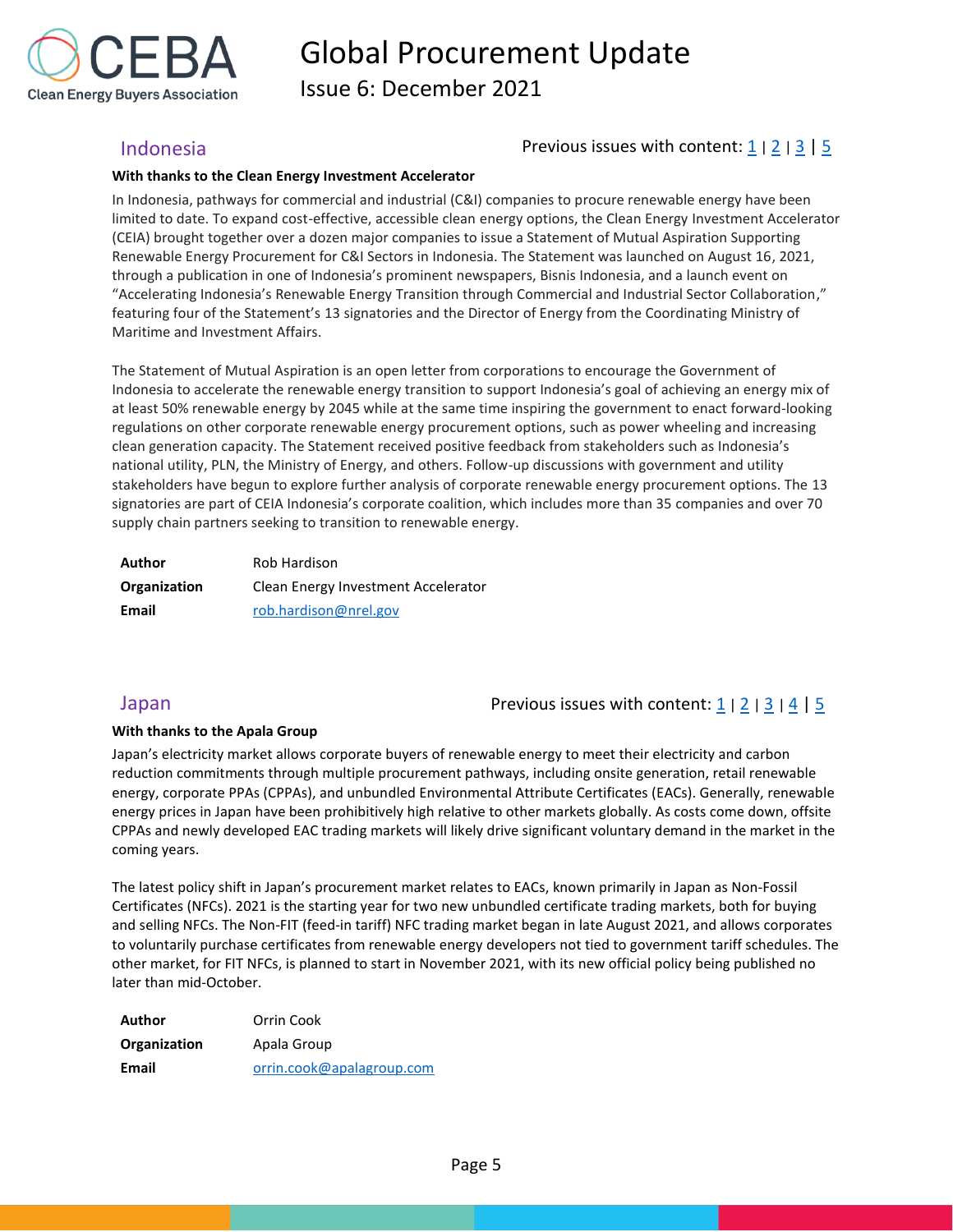

Issue 6: December 2021

## <span id="page-5-0"></span>Indonesia Previous issues with content: [1](https://reba2019dev.wpengine.com/wp-content/uploads/2020/02/REBA-CI-Procurement-Update_Feb-2020-1.pdf) <sup>|</sup>[2](https://rebuyers.org/wp-content/uploads/2020/07/C_I_Procurement_Update_Issue_2.pdf) <sup>|</sup>[3](https://documentcloud.adobe.com/link/track?uri=urn:aaid:scds:US:6601ed7a-4da4-4e40-8b34-921171ec412a#pageNum=1) | [5](https://cebuyers.org/wp-content/uploads/2021/07/C.I.Procurement.Update_Issue.5.pdf)

### **With thanks to the Clean Energy Investment Accelerator**

In Indonesia, pathways for commercial and industrial (C&I) companies to procure renewable energy have been limited to date. To expand cost-effective, accessible clean energy options, the Clean Energy Investment Accelerator (CEIA) brought together over a dozen major companies to issue a Statement of Mutual Aspiration Supporting Renewable Energy Procurement for C&I Sectors in Indonesia. The Statement was launched on August 16, 2021, through a publication in one of Indonesia's prominent newspapers, Bisnis Indonesia, and a launch event on "Accelerating Indonesia's Renewable Energy Transition through Commercial and Industrial Sector Collaboration," featuring four of the Statement's 13 signatories and the Director of Energy from the Coordinating Ministry of Maritime and Investment Affairs.

The Statement of Mutual Aspiration is an open letter from corporations to encourage the Government of Indonesia to accelerate the renewable energy transition to support Indonesia's goal of achieving an energy mix of at least 50% renewable energy by 2045 while at the same time inspiring the government to enact forward-looking regulations on other corporate renewable energy procurement options, such as power wheeling and increasing clean generation capacity. The Statement received positive feedback from stakeholders such as Indonesia's national utility, PLN, the Ministry of Energy, and others. Follow-up discussions with government and utility stakeholders have begun to explore further analysis of corporate renewable energy procurement options. The 13 signatories are part of CEIA Indonesia's corporate coalition, which includes more than 35 companies and over 70 supply chain partners seeking to transition to renewable energy.

| Author       | Rob Hardison                        |
|--------------|-------------------------------------|
| Organization | Clean Energy Investment Accelerator |
| Email        | rob.hardison@nrel.gov               |

## <span id="page-5-1"></span>Japan  $\Box$  and  $\Box$  Previous issues with content: [1](https://reba2019dev.wpengine.com/wp-content/uploads/2020/02/REBA-CI-Procurement-Update_Feb-2020-1.pdf) | [2](https://rebuyers.org/wp-content/uploads/2020/07/C_I_Procurement_Update_Issue_2.pdf) | [3](https://documentcloud.adobe.com/link/track?uri=urn:aaid:scds:US:6601ed7a-4da4-4e40-8b34-921171ec412a#pageNum=1) | [4](https://rebuyers.org/wp-content/uploads/2021/03/REBA_C_I_Procurement_Update_02_21.pdf) [| 5](https://cebuyers.org/wp-content/uploads/2021/07/C.I.Procurement.Update_Issue.5.pdf)  $\Box$

### **With thanks to the Apala Group**

Japan's electricity market allows corporate buyers of renewable energy to meet their electricity and carbon reduction commitments through multiple procurement pathways, including onsite generation, retail renewable energy, corporate PPAs (CPPAs), and unbundled Environmental Attribute Certificates (EACs). Generally, renewable energy prices in Japan have been prohibitively high relative to other markets globally. As costs come down, offsite CPPAs and newly developed EAC trading markets will likely drive significant voluntary demand in the market in the coming years.

The latest policy shift in Japan's procurement market relates to EACs, known primarily in Japan as Non-Fossil Certificates (NFCs). 2021 is the starting year for two new unbundled certificate trading markets, both for buying and selling NFCs. The Non-FIT (feed-in tariff) NFC trading market began in late August 2021, and allows corporates to voluntarily purchase certificates from renewable energy developers not tied to government tariff schedules. The other market, for FIT NFCs, is planned to start in November 2021, with its new official policy being published no later than mid-October.

| Author       | Orrin Cook                |
|--------------|---------------------------|
| Organization | Apala Group               |
| Email        | orrin.cook@apalagroup.com |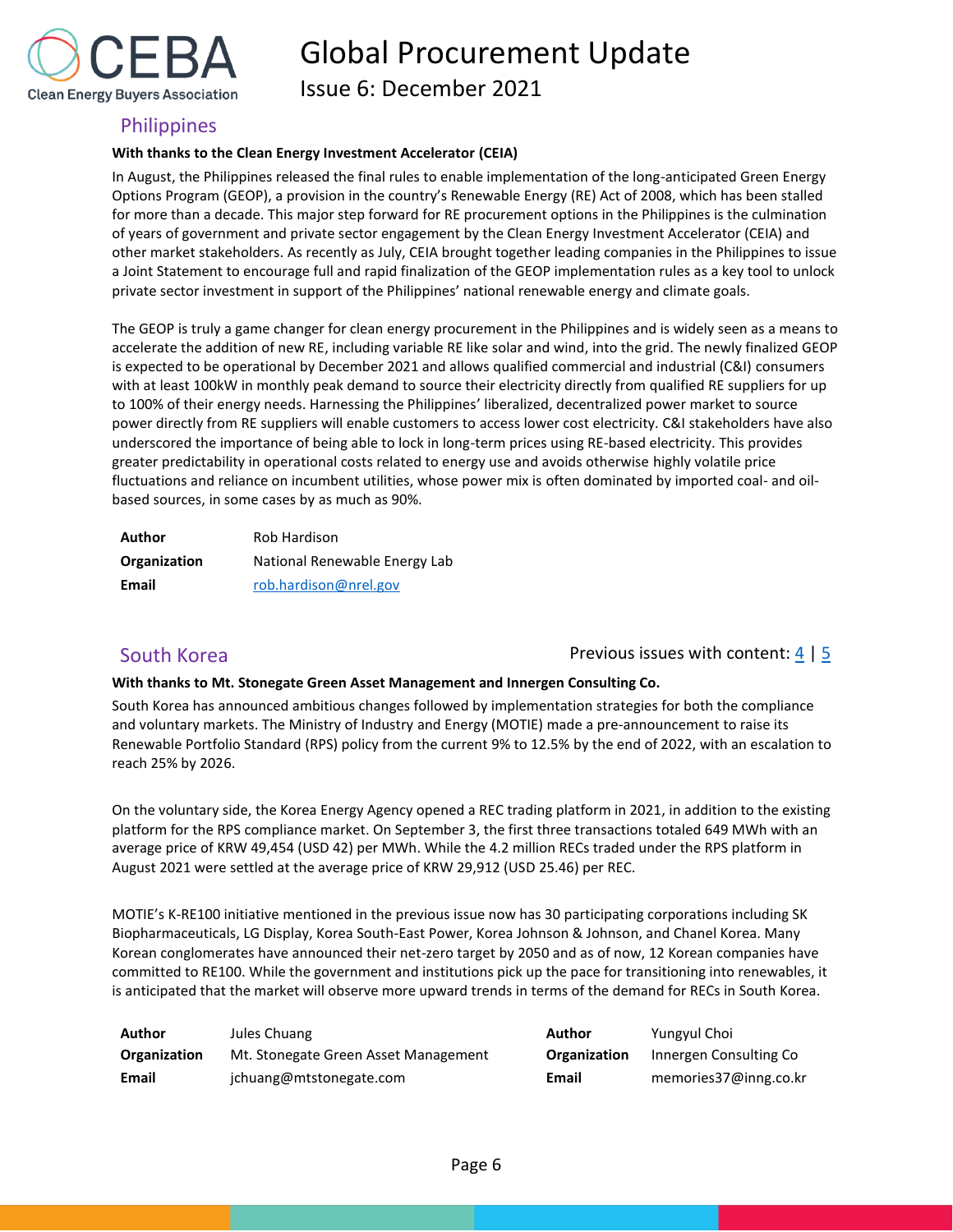

Issue 6: December 2021

## <span id="page-6-0"></span>**Philippines**

### **With thanks to the Clean Energy Investment Accelerator (CEIA)**

In August, the Philippines released the final rules to enable implementation of the long-anticipated Green Energy Options Program (GEOP), a provision in the country's Renewable Energy (RE) Act of 2008, which has been stalled for more than a decade. This major step forward for RE procurement options in the Philippines is the culmination of years of government and private sector engagement by the Clean Energy Investment Accelerator (CEIA) and other market stakeholders. As recently as July, CEIA brought together leading companies in the Philippines to issue a Joint Statement to encourage full and rapid finalization of the GEOP implementation rules as a key tool to unlock private sector investment in support of the Philippines' national renewable energy and climate goals.

The GEOP is truly a game changer for clean energy procurement in the Philippines and is widely seen as a means to accelerate the addition of new RE, including variable RE like solar and wind, into the grid. The newly finalized GEOP is expected to be operational by December 2021 and allows qualified commercial and industrial (C&I) consumers with at least 100kW in monthly peak demand to source their electricity directly from qualified RE suppliers for up to 100% of their energy needs. Harnessing the Philippines' liberalized, decentralized power market to source power directly from RE suppliers will enable customers to access lower cost electricity. C&I stakeholders have also underscored the importance of being able to lock in long-term prices using RE-based electricity. This provides greater predictability in operational costs related to energy use and avoids otherwise highly volatile price fluctuations and reliance on incumbent utilities, whose power mix is often dominated by imported coal- and oilbased sources, in some cases by as much as 90%.

| Author       | Rob Hardison                  |
|--------------|-------------------------------|
| Organization | National Renewable Energy Lab |
| Email        | rob.hardison@nrel.gov         |

## <span id="page-6-1"></span>South Korea **Previous issues with content:** 4 | [5](https://cebuyers.org/wp-content/uploads/2021/07/C.I.Procurement.Update_Issue.5.pdf)

### **With thanks to Mt. Stonegate Green Asset Management and Innergen Consulting Co.**

South Korea has announced ambitious changes followed by implementation strategies for both the compliance and voluntary markets. The Ministry of Industry and Energy (MOTIE) made a pre-announcement to raise its Renewable Portfolio Standard (RPS) policy from the current 9% to 12.5% by the end of 2022, with an escalation to reach 25% by 2026.

On the voluntary side, the Korea Energy Agency opened a REC trading platform in 2021, in addition to the existing platform for the RPS compliance market. On September 3, the first three transactions totaled 649 MWh with an average price of KRW 49,454 (USD 42) per MWh. While the 4.2 million RECs traded under the RPS platform in August 2021 were settled at the average price of KRW 29,912 (USD 25.46) per REC.

MOTIE's K-RE100 initiative mentioned in the previous issue now has 30 participating corporations including SK Biopharmaceuticals, LG Display, Korea South-East Power, Korea Johnson & Johnson, and Chanel Korea. Many Korean conglomerates have announced their net-zero target by 2050 and as of now, 12 Korean companies have committed to RE100. While the government and institutions pick up the pace for transitioning into renewables, it is anticipated that the market will observe more upward trends in terms of the demand for RECs in South Korea.

| Author       | Jules Chuang                         | Author       | Yungyul Choi           |
|--------------|--------------------------------------|--------------|------------------------|
| Organization | Mt. Stonegate Green Asset Management | Organization | Innergen Consulting Co |
| Email        | jchuang@mtstonegate.com              | Email        | memories37@inng.co.kr  |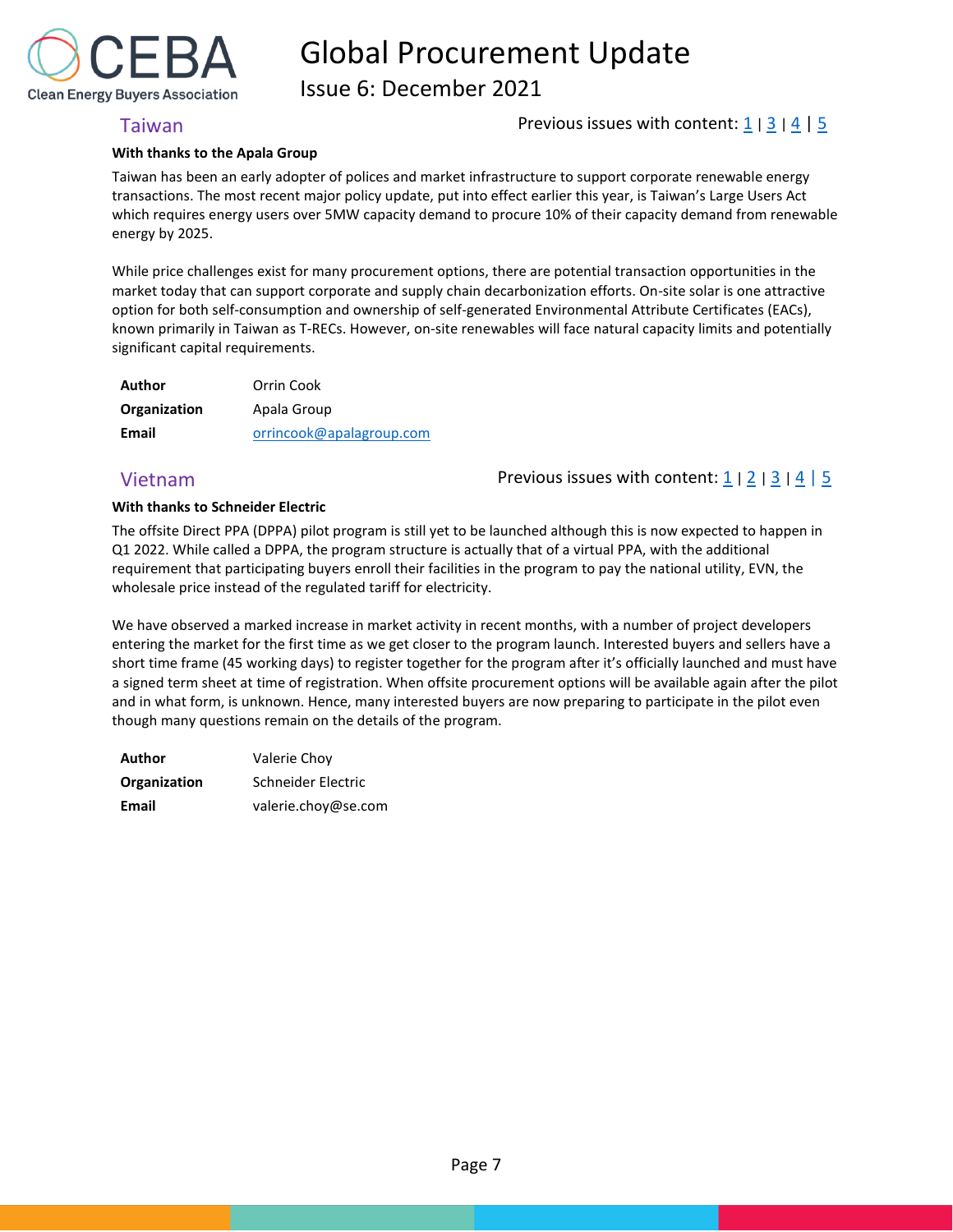

Issue 6: December 2021

## <span id="page-7-0"></span>Taiwan **Previous issues with content:**  $\frac{1}{2}$  |  $\frac{3}{4}$  $\frac{3}{4}$  $\frac{3}{4}$  $\frac{3}{4}$  $\frac{3}{4}$  |  $\frac{5}{5}$

### **With thanks to the Apala Group**

Taiwan has been an early adopter of polices and market infrastructure to support corporate renewable energy transactions. The most recent major policy update, put into effect earlier this year, is Taiwan's Large Users Act which requires energy users over 5MW capacity demand to procure 10% of their capacity demand from renewable energy by 2025.

While price challenges exist for many procurement options, there are potential transaction opportunities in the market today that can support corporate and supply chain decarbonization efforts. On-site solar is one attractive option for both self-consumption and ownership of self-generated Environmental Attribute Certificates (EACs), known primarily in Taiwan as T-RECs. However, on-site renewables will face natural capacity limits and potentially significant capital requirements.

| Author       | Orrin Cook               |
|--------------|--------------------------|
| Organization | Apala Group              |
| Email        | orrincook@apalagroup.com |

# <span id="page-7-1"></span>Vietnam **Previous issues with content:**  $\frac{1}{2}$  $\frac{1}{2}$  $\frac{1}{2}$  |  $\frac{2}{3}$  $\frac{2}{3}$  $\frac{2}{3}$  |  $\frac{4}{5}$  $\frac{4}{5}$  $\frac{4}{5}$  $\frac{4}{5}$  $\frac{4}{5}$

### **With thanks to Schneider Electric**

The offsite Direct PPA (DPPA) pilot program is still yet to be launched although this is now expected to happen in Q1 2022. While called a DPPA, the program structure is actually that of a virtual PPA, with the additional requirement that participating buyers enroll their facilities in the program to pay the national utility, EVN, the wholesale price instead of the regulated tariff for electricity.

We have observed a marked increase in market activity in recent months, with a number of project developers entering the market for the first time as we get closer to the program launch. Interested buyers and sellers have a short time frame (45 working days) to register together for the program after it's officially launched and must have a signed term sheet at time of registration. When offsite procurement options will be available again after the pilot and in what form, is unknown. Hence, many interested buyers are now preparing to participate in the pilot even though many questions remain on the details of the program.

<span id="page-7-2"></span>

| Author       | Valerie Choy        |
|--------------|---------------------|
| Organization | Schneider Electric  |
| Email        | valerie.choy@se.com |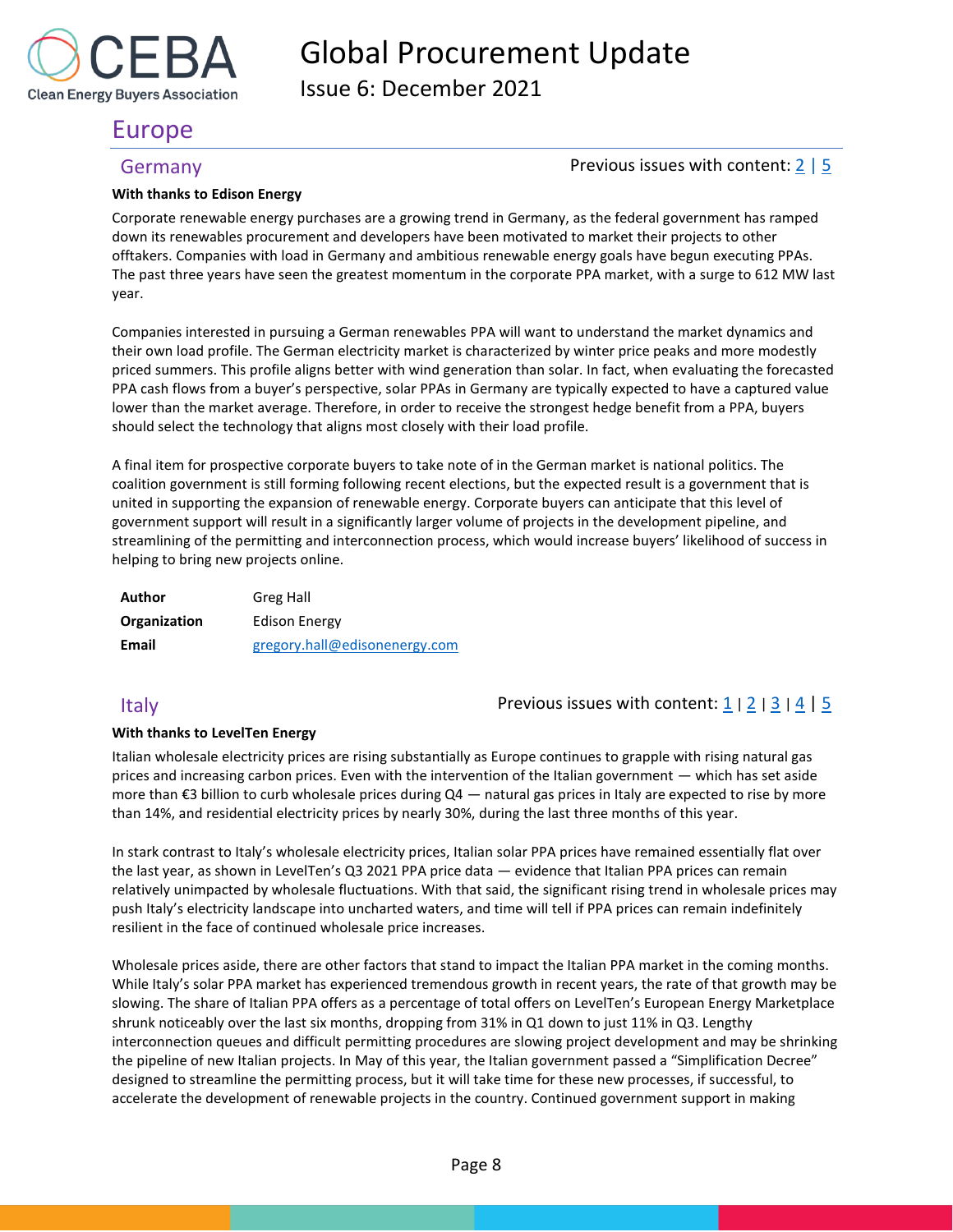

Issue 6: December 2021

# Europe

## <span id="page-8-0"></span>Germany Germany **Previous issues with content:** [2](https://rebuyers.org/wp-content/uploads/2020/07/C_I_Procurement_Update_Issue_2.pdf) | [5](https://rebuyers.sharepoint.com/:w:/s/REBA-SupplyChain/ESjAcMEMUIVPux7XGhhrnMIB8DQ9PWE3SyLz3X_pmdiydg?e=huF7gm)

### **With thanks to Edison Energy**

Corporate renewable energy purchases are a growing trend in Germany, as the federal government has ramped down its renewables procurement and developers have been motivated to market their projects to other offtakers. Companies with load in Germany and ambitious renewable energy goals have begun executing PPAs. The past three years have seen the greatest momentum in the corporate PPA market, with a surge to 612 MW last year.

Companies interested in pursuing a German renewables PPA will want to understand the market dynamics and their own load profile. The German electricity market is characterized by winter price peaks and more modestly priced summers. This profile aligns better with wind generation than solar. In fact, when evaluating the forecasted PPA cash flows from a buyer's perspective, solar PPAs in Germany are typically expected to have a captured value lower than the market average. Therefore, in order to receive the strongest hedge benefit from a PPA, buyers should select the technology that aligns most closely with their load profile.

A final item for prospective corporate buyers to take note of in the German market is national politics. The coalition government is still forming following recent elections, but the expected result is a government that is united in supporting the expansion of renewable energy. Corporate buyers can anticipate that this level of government support will result in a significantly larger volume of projects in the development pipeline, and streamlining of the permitting and interconnection process, which would increase buyers' likelihood of success in helping to bring new projects online.

| Author       | Greg Hall                     |
|--------------|-------------------------------|
| Organization | Edison Energy                 |
| Email        | gregory.hall@edisonenergy.com |

# **With thanks to LevelTen Energy**

<span id="page-8-1"></span>Italy Previous issues with content: [1](https://reba2019dev.wpengine.com/wp-content/uploads/2020/02/REBA-CI-Procurement-Update_Feb-2020-1.pdf) <sup>|</sup>[2](https://rebuyers.org/wp-content/uploads/2020/07/C_I_Procurement_Update_Issue_2.pdf) <sup>|</sup>[3](https://documentcloud.adobe.com/link/track?uri=urn:aaid:scds:US:6601ed7a-4da4-4e40-8b34-921171ec412a#pageNum=1) <sup>|</sup>[4](https://rebuyers.org/wp-content/uploads/2021/03/REBA_C_I_Procurement_Update_02_21.pdf) | [5](https://rebuyers.sharepoint.com/:w:/s/REBA-SupplyChain/ESjAcMEMUIVPux7XGhhrnMIB8DQ9PWE3SyLz3X_pmdiydg?e=huF7gm)

Italian wholesale electricity prices are rising substantially as Europe continues to grapple with rising natural gas prices and increasing carbon prices. Even with the intervention of the Italian government — which has set aside more than €3 billion to curb wholesale prices during Q4 — natural gas prices in Italy are expected to rise by more than 14%, and residential electricity prices by nearly 30%, during the last three months of this year.

In stark contrast to Italy's wholesale electricity prices, Italian solar PPA prices have remained essentially flat over the last year, as shown in LevelTen's Q3 2021 PPA price data — evidence that Italian PPA prices can remain relatively unimpacted by wholesale fluctuations. With that said, the significant rising trend in wholesale prices may push Italy's electricity landscape into uncharted waters, and time will tell if PPA prices can remain indefinitely resilient in the face of continued wholesale price increases.

Wholesale prices aside, there are other factors that stand to impact the Italian PPA market in the coming months. While Italy's solar PPA market has experienced tremendous growth in recent years, the rate of that growth may be slowing. The share of Italian PPA offers as a percentage of total offers on LevelTen's European Energy Marketplace shrunk noticeably over the last six months, dropping from 31% in Q1 down to just 11% in Q3. Lengthy interconnection queues and difficult permitting procedures are slowing project development and may be shrinking the pipeline of new Italian projects. In May of this year, the Italian government passed a "Simplification Decree" designed to streamline the permitting process, but it will take time for these new processes, if successful, to accelerate the development of renewable projects in the country. Continued government support in making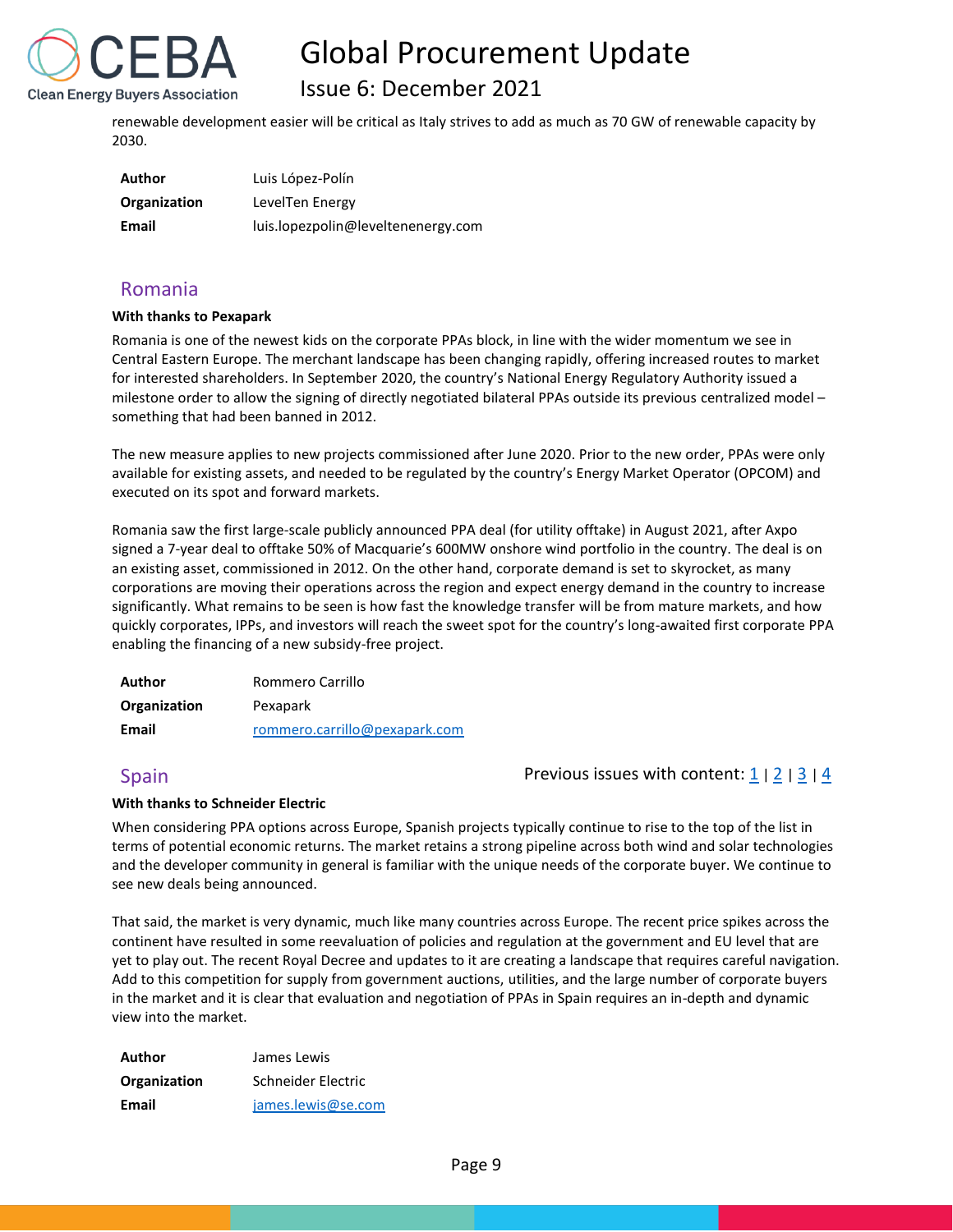

# Issue 6: December 2021

renewable development easier will be critical as Italy strives to add as much as 70 GW of renewable capacity by 2030.

| Author       | Luis López-Polín                   |
|--------------|------------------------------------|
| Organization | LevelTen Energy                    |
| Email        | luis.lopezpolin@leveltenenergy.com |

# <span id="page-9-0"></span>Romania

### **With thanks to Pexapark**

Romania is one of the newest kids on the corporate PPAs block, in line with the wider momentum we see in Central Eastern Europe. The merchant landscape has been changing rapidly, offering increased routes to market for interested shareholders. In September 2020, the country's National Energy Regulatory Authority issued a milestone order to allow the signing of directly negotiated bilateral PPAs outside its previous centralized model – something that had been banned in 2012.

The new measure applies to new projects commissioned after June 2020. Prior to the new order, PPAs were only available for existing assets, and needed to be regulated by the country's Energy Market Operator (OPCOM) and executed on its spot and forward markets.

Romania saw the first large-scale publicly announced PPA deal (for utility offtake) in August 2021, after Axpo signed a 7-year deal to offtake 50% of Macquarie's 600MW onshore wind portfolio in the country. The deal is on an existing asset, commissioned in 2012. On the other hand, corporate demand is set to skyrocket, as many corporations are moving their operations across the region and expect energy demand in the country to increase significantly. What remains to be seen is how fast the knowledge transfer will be from mature markets, and how quickly corporates, IPPs, and investors will reach the sweet spot for the country's long-awaited first corporate PPA enabling the financing of a new subsidy-free project.

| Author       | Rommero Carrillo              |  |  |  |
|--------------|-------------------------------|--|--|--|
| Organization | Pexapark                      |  |  |  |
| Email        | rommero.carrillo@pexapark.com |  |  |  |

## <span id="page-9-1"></span>Spain Previous issues with content:  $\frac{1}{2}$  $\frac{1}{2}$  $\frac{1}{2}$  |  $\frac{3}{1}$  $\frac{3}{1}$  $\frac{3}{1}$  |  $\frac{4}{4}$  $\frac{4}{4}$  $\frac{4}{4}$

## **With thanks to Schneider Electric**

When considering PPA options across Europe, Spanish projects typically continue to rise to the top of the list in terms of potential economic returns. The market retains a strong pipeline across both wind and solar technologies and the developer community in general is familiar with the unique needs of the corporate buyer. We continue to see new deals being announced.

That said, the market is very dynamic, much like many countries across Europe. The recent price spikes across the continent have resulted in some reevaluation of policies and regulation at the government and EU level that are yet to play out. The recent Royal Decree and updates to it are creating a landscape that requires careful navigation. Add to this competition for supply from government auctions, utilities, and the large number of corporate buyers in the market and it is clear that evaluation and negotiation of PPAs in Spain requires an in-depth and dynamic view into the market.

| Author       | James Lewis        |  |  |
|--------------|--------------------|--|--|
| Organization | Schneider Electric |  |  |
| Email        | james.lewis@se.com |  |  |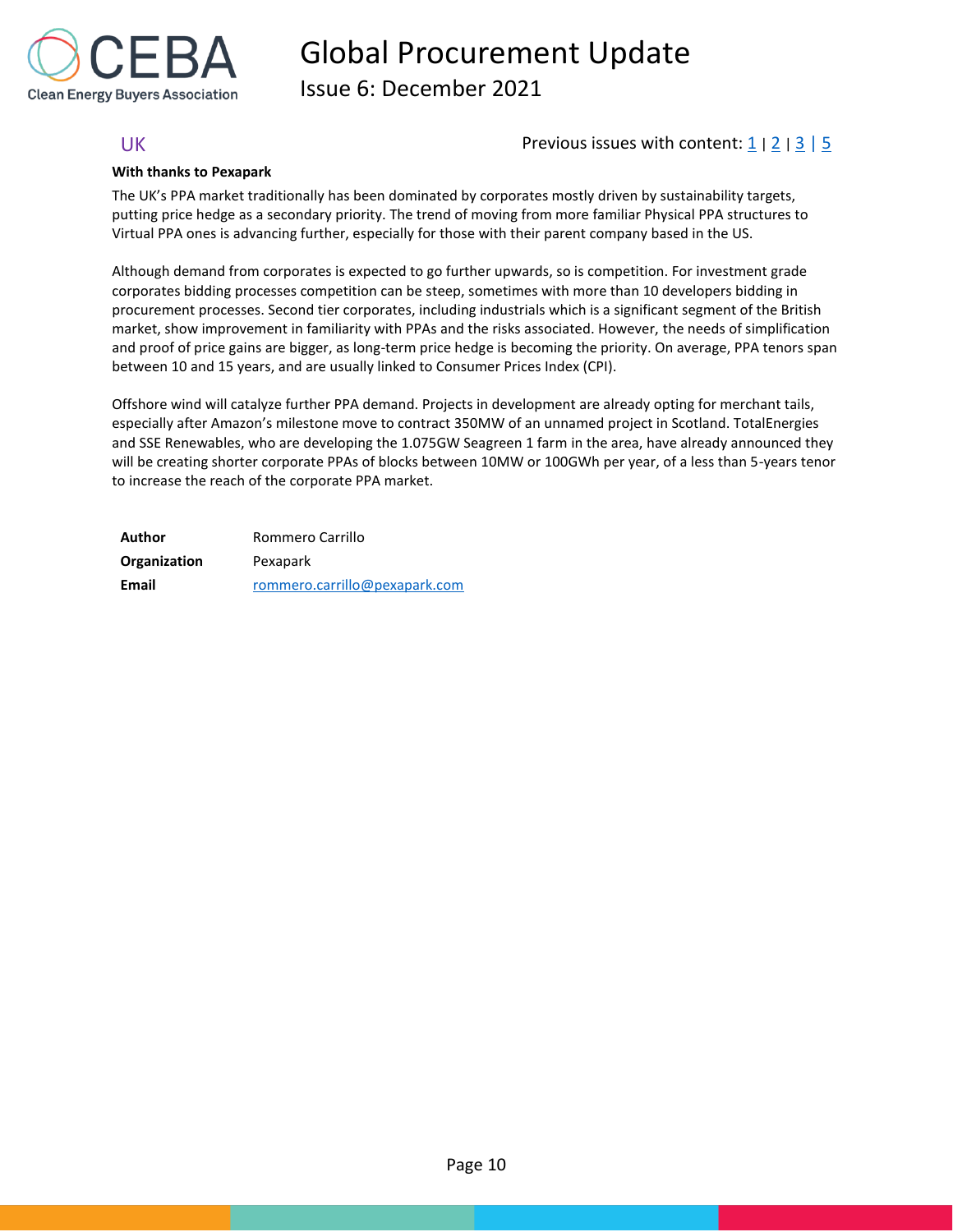

Issue 6: December 2021

## <span id="page-10-0"></span>UK Previous issues with content:  $\frac{1}{2}$  $\frac{1}{2}$  $\frac{1}{2}$  |  $\frac{2}{3}$  $\frac{2}{3}$  $\frac{2}{3}$  |  $\frac{5}{2}$

### **With thanks to Pexapark**

The UK's PPA market traditionally has been dominated by corporates mostly driven by sustainability targets, putting price hedge as a secondary priority. The trend of moving from more familiar Physical PPA structures to Virtual PPA ones is advancing further, especially for those with their parent company based in the US.

Although demand from corporates is expected to go further upwards, so is competition. For investment grade corporates bidding processes competition can be steep, sometimes with more than 10 developers bidding in procurement processes. Second tier corporates, including industrials which is a significant segment of the British market, show improvement in familiarity with PPAs and the risks associated. However, the needs of simplification and proof of price gains are bigger, as long-term price hedge is becoming the priority. On average, PPA tenors span between 10 and 15 years, and are usually linked to Consumer Prices Index (CPI).

Offshore wind will catalyze further PPA demand. Projects in development are already opting for merchant tails, especially after Amazon's milestone move to contract 350MW of an unnamed project in Scotland. TotalEnergies and SSE Renewables, who are developing the 1.075GW Seagreen 1 farm in the area, have already announced they will be creating shorter corporate PPAs of blocks between 10MW or 100GWh per year, of a less than 5-years tenor to increase the reach of the corporate PPA market.

| Author       | Rommero Carrillo              |  |  |  |
|--------------|-------------------------------|--|--|--|
| Organization | Pexapark                      |  |  |  |
| Email        | rommero.carrillo@pexapark.com |  |  |  |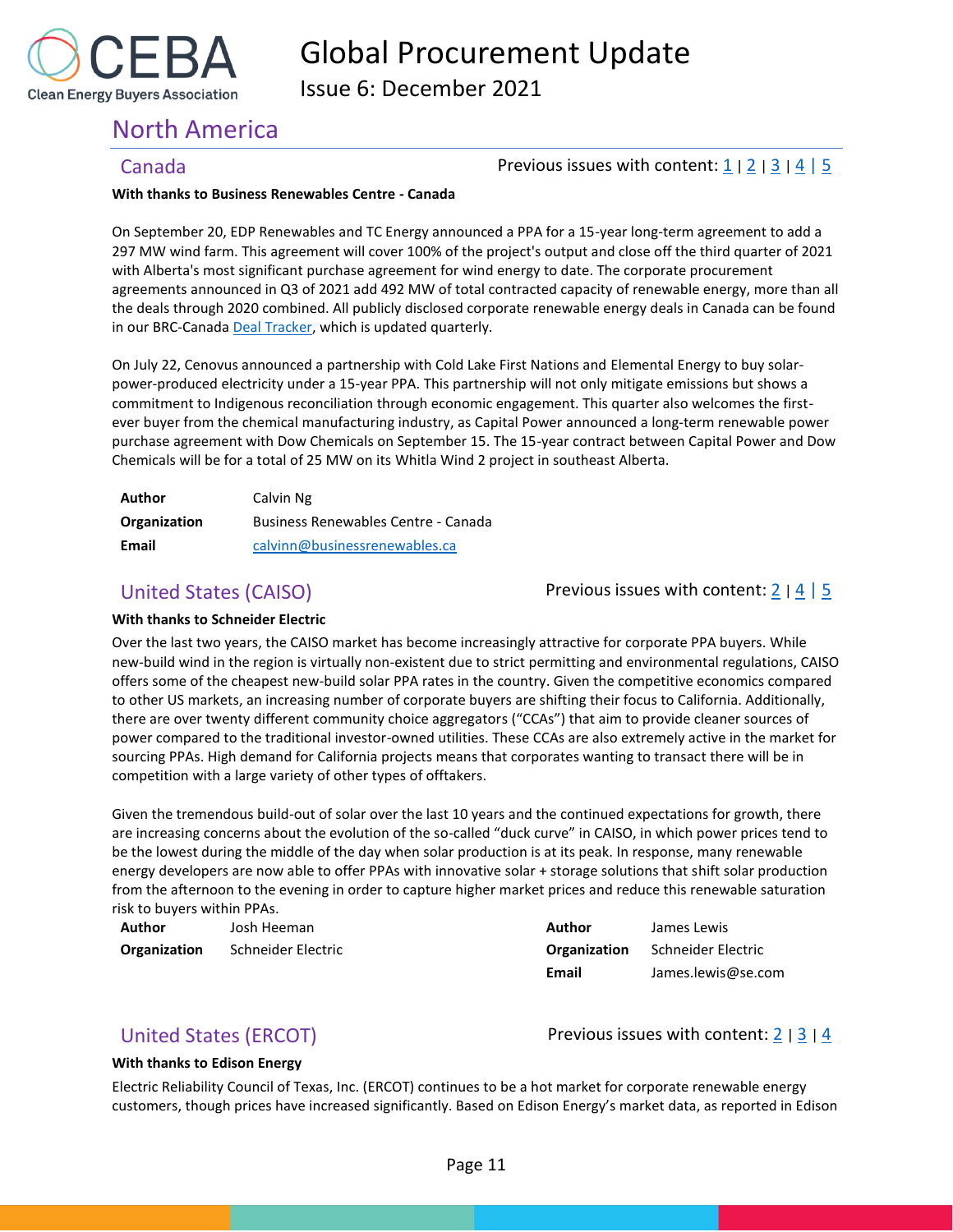

Issue 6: December 2021

# <span id="page-11-0"></span>North America

## <span id="page-11-1"></span>Canada **Previous issues with content:**  $\frac{1}{2}$  $\frac{1}{2}$  $\frac{1}{2}$  |  $\frac{3}{4}$  $\frac{3}{4}$  $\frac{3}{4}$  $\frac{3}{4}$  $\frac{3}{4}$  |  $\frac{4}{5}$  $\frac{4}{5}$  $\frac{4}{5}$

### **With thanks to Business Renewables Centre - Canada**

On September 20, EDP Renewables and TC Energy announced a PPA for a 15-year long-term agreement to add a 297 MW wind farm. This agreement will cover 100% of the project's output and close off the third quarter of 2021 with Alberta's most significant purchase agreement for wind energy to date. The corporate procurement agreements announced in Q3 of 2021 add 492 MW of total contracted capacity of renewable energy, more than all the deals through 2020 combined. All publicly disclosed corporate renewable energy deals in Canada can be found in our BRC-Canada [Deal Tracker,](https://businessrenewables.ca/deal-tracker) which is updated quarterly.

On July 22, Cenovus announced a partnership with Cold Lake First Nations and Elemental Energy to buy solarpower-produced electricity under a 15-year PPA. This partnership will not only mitigate emissions but shows a commitment to Indigenous reconciliation through economic engagement. This quarter also welcomes the firstever buyer from the chemical manufacturing industry, as Capital Power announced a long-term renewable power purchase agreement with Dow Chemicals on September 15. The 15-year contract between Capital Power and Dow Chemicals will be for a total of 25 MW on its Whitla Wind 2 project in southeast Alberta.

| Author       | Calvin Ng                           |  |  |  |
|--------------|-------------------------------------|--|--|--|
| Organization | Business Renewables Centre - Canada |  |  |  |
| Email        | calvinn@businessrenewables.ca       |  |  |  |

<span id="page-11-2"></span>United States (CAISO) **Previous issues with content:**  $2 |4 |5$  $2 |4 |5$  $2 |4 |5$  $2 |4 |5$ 

## **With thanks to Schneider Electric**

Over the last two years, the CAISO market has become increasingly attractive for corporate PPA buyers. While new-build wind in the region is virtually non-existent due to strict permitting and environmental regulations, CAISO offers some of the cheapest new-build solar PPA rates in the country. Given the competitive economics compared to other US markets, an increasing number of corporate buyers are shifting their focus to California. Additionally, there are over twenty different community choice aggregators ("CCAs") that aim to provide cleaner sources of power compared to the traditional investor-owned utilities. These CCAs are also extremely active in the market for sourcing PPAs. High demand for California projects means that corporates wanting to transact there will be in competition with a large variety of other types of offtakers.

Given the tremendous build-out of solar over the last 10 years and the continued expectations for growth, there are increasing concerns about the evolution of the so-called "duck curve" in CAISO, in which power prices tend to be the lowest during the middle of the day when solar production is at its peak. In response, many renewable energy developers are now able to offer PPAs with innovative solar + storage solutions that shift solar production from the afternoon to the evening in order to capture higher market prices and reduce this renewable saturation risk to buyers within PPAs.

| Author              | Josh Heeman        | Author              | James Lewis        |
|---------------------|--------------------|---------------------|--------------------|
| <b>Organization</b> | Schneider Electric | <b>Organization</b> | Schneider Electric |
|                     |                    | Email               | James.lewis@se.com |

# United States (ERCOT) Districts (Previous issues with content:  $2 |3 |4$  $2 |3 |4$  $2 |3 |4$  $2 |3 |4$

### **With thanks to Edison Energy**

Electric Reliability Council of Texas, Inc. (ERCOT) continues to be a hot market for corporate renewable energy customers, though prices have increased significantly. Based on Edison Energy's market data, as reported in Edison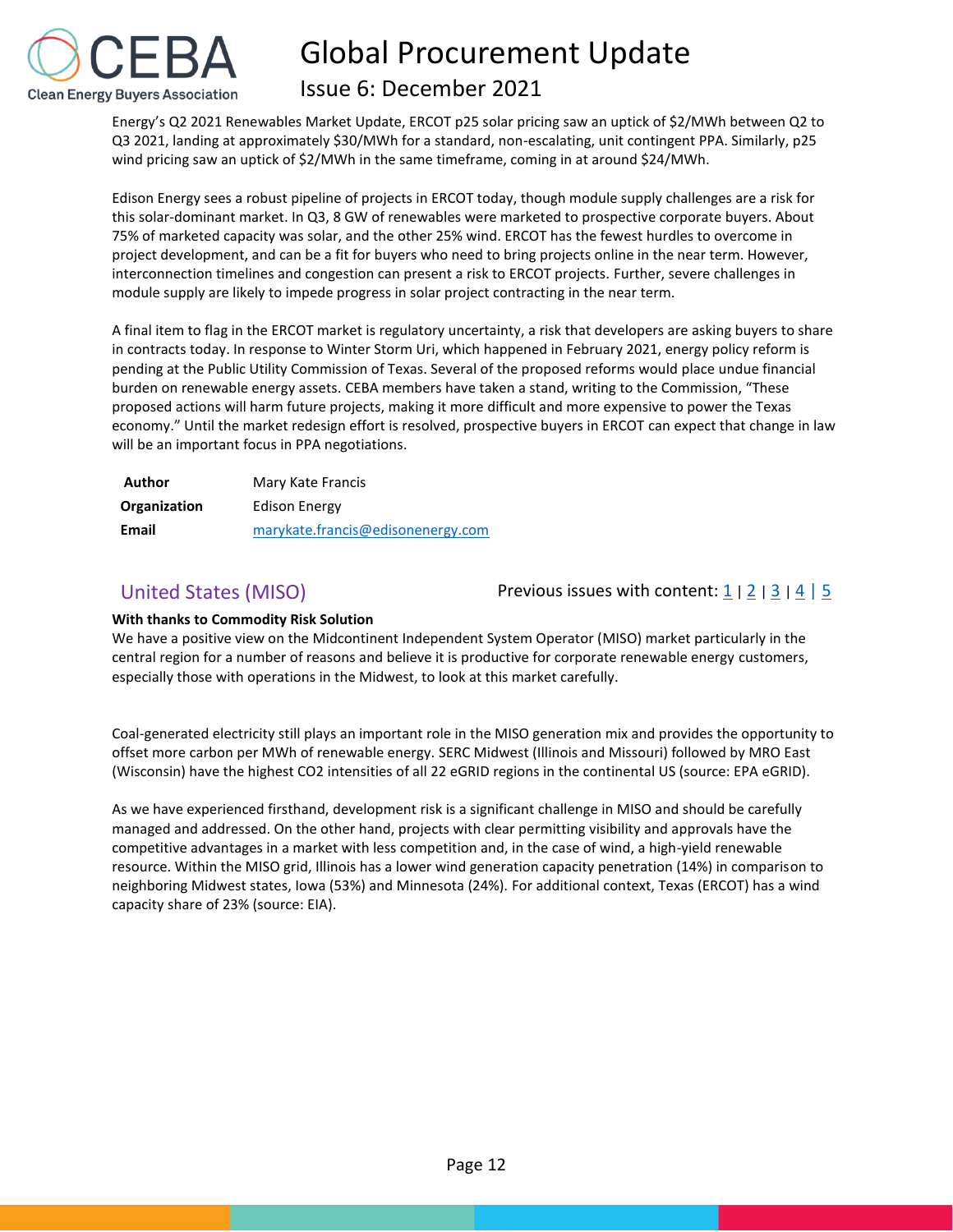

# Issue 6: December 2021

Energy's Q2 2021 Renewables Market Update, ERCOT p25 solar pricing saw an uptick of \$2/MWh between Q2 to Q3 2021, landing at approximately \$30/MWh for a standard, non-escalating, unit contingent PPA. Similarly, p25 wind pricing saw an uptick of \$2/MWh in the same timeframe, coming in at around \$24/MWh.

Edison Energy sees a robust pipeline of projects in ERCOT today, though module supply challenges are a risk for this solar-dominant market. In Q3, 8 GW of renewables were marketed to prospective corporate buyers. About 75% of marketed capacity was solar, and the other 25% wind. ERCOT has the fewest hurdles to overcome in project development, and can be a fit for buyers who need to bring projects online in the near term. However, interconnection timelines and congestion can present a risk to ERCOT projects. Further, severe challenges in module supply are likely to impede progress in solar project contracting in the near term.

A final item to flag in the ERCOT market is regulatory uncertainty, a risk that developers are asking buyers to share in contracts today. In response to Winter Storm Uri, which happened in February 2021, energy policy reform is pending at the Public Utility Commission of Texas. Several of the proposed reforms would place undue financial burden on renewable energy assets. CEBA members have taken a stand, writing to the Commission, "These proposed actions will harm future projects, making it more difficult and more expensive to power the Texas economy." Until the market redesign effort is resolved, prospective buyers in ERCOT can expect that change in law will be an important focus in PPA negotiations.

| Author       | Mary Kate Francis                 |  |  |  |
|--------------|-----------------------------------|--|--|--|
| Organization | Edison Energy                     |  |  |  |
| Email        | marykate.francis@edisonenergy.com |  |  |  |

<span id="page-12-0"></span>United States (MISO) Previous issues with content:  $\frac{1}{2}$  $\frac{1}{2}$  $\frac{1}{2}$  |  $\frac{2}{3}$  $\frac{2}{3}$  $\frac{2}{3}$  |  $\frac{4}{5}$  $\frac{4}{5}$  $\frac{4}{5}$  $\frac{4}{5}$  $\frac{4}{5}$ 

## **With thanks to Commodity Risk Solution**

We have a positive view on the Midcontinent Independent System Operator (MISO) market particularly in the central region for a number of reasons and believe it is productive for corporate renewable energy customers, especially those with operations in the Midwest, to look at this market carefully.

Coal-generated electricity still plays an important role in the MISO generation mix and provides the opportunity to offset more carbon per MWh of renewable energy. SERC Midwest (Illinois and Missouri) followed by MRO East (Wisconsin) have the highest CO2 intensities of all 22 eGRID regions in the continental US (source: EPA eGRID).

As we have experienced firsthand, development risk is a significant challenge in MISO and should be carefully managed and addressed. On the other hand, projects with clear permitting visibility and approvals have the competitive advantages in a market with less competition and, in the case of wind, a high-yield renewable resource. Within the MISO grid, Illinois has a lower wind generation capacity penetration (14%) in comparison to neighboring Midwest states, Iowa (53%) and Minnesota (24%). For additional context, Texas (ERCOT) has a wind capacity share of 23% (source: EIA).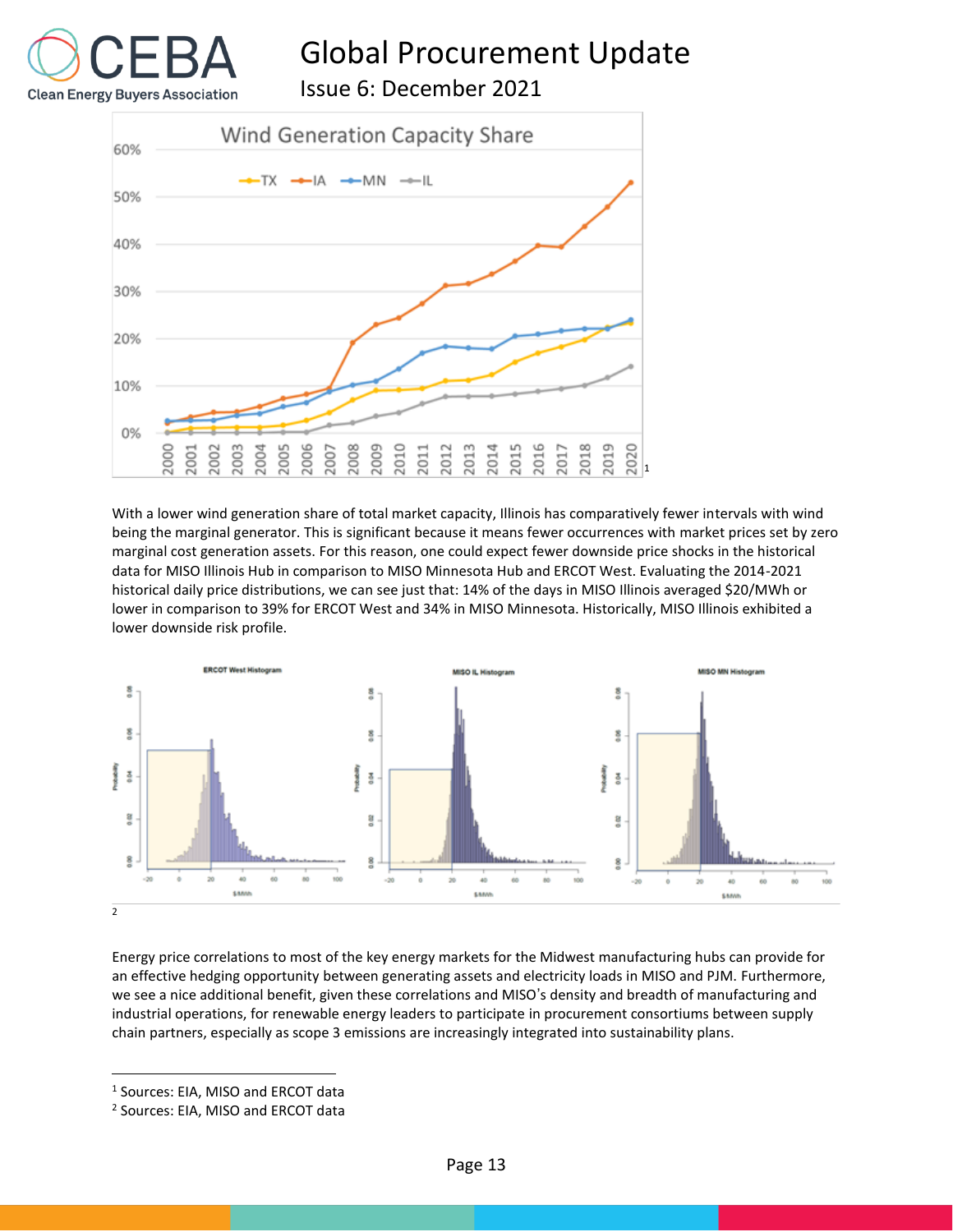Issue 6: December 2021

**Clean Energy Buyers Association** 



With a lower wind generation share of total market capacity, Illinois has comparatively fewer intervals with wind being the marginal generator. This is significant because it means fewer occurrences with market prices set by zero marginal cost generation assets. For this reason, one could expect fewer downside price shocks in the historical data for MISO Illinois Hub in comparison to MISO Minnesota Hub and ERCOT West. Evaluating the 2014-2021 historical daily price distributions, we can see just that: 14% of the days in MISO Illinois averaged \$20/MWh or lower in comparison to 39% for ERCOT West and 34% in MISO Minnesota. Historically, MISO Illinois exhibited a lower downside risk profile.



Energy price correlations to most of the key energy markets for the Midwest manufacturing hubs can provide for an effective hedging opportunity between generating assets and electricity loads in MISO and PJM. Furthermore, we see a nice additional benefit, given these correlations and MISO's density and breadth of manufacturing and industrial operations, for renewable energy leaders to participate in procurement consortiums between supply chain partners, especially as scope 3 emissions are increasingly integrated into sustainability plans.

1 Sources: EIA, MISO and ERCOT data

<sup>2</sup> Sources: EIA, MISO and ERCOT data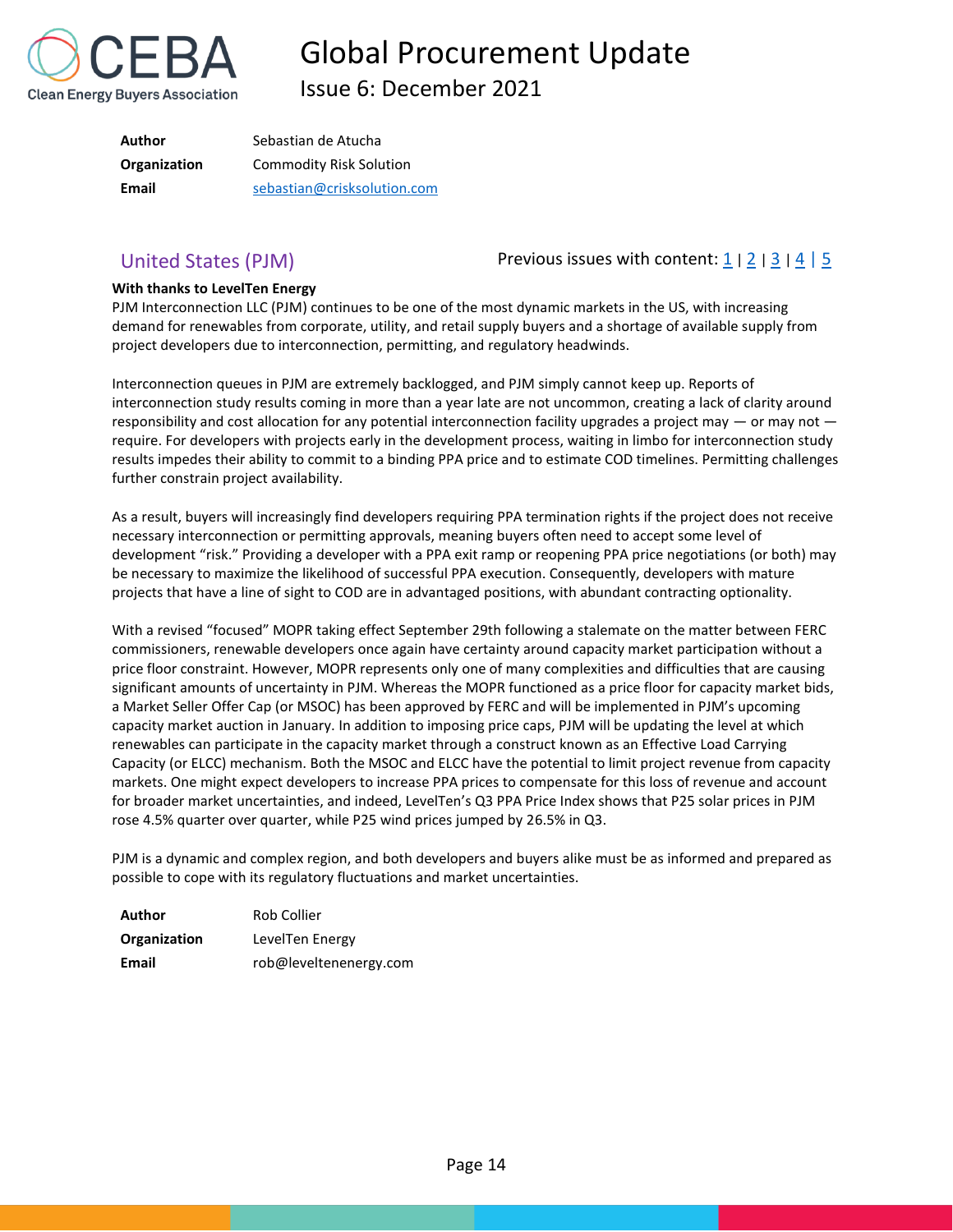

Issue 6: December 2021

| Author       | Sebastian de Atucha            |  |  |  |
|--------------|--------------------------------|--|--|--|
| Organization | <b>Commodity Risk Solution</b> |  |  |  |
| Email        | sebastian@crisksolution.com    |  |  |  |

<span id="page-14-0"></span>United States (PJM) Previous issues with content:  $\frac{1}{2}$  $\frac{1}{2}$  $\frac{1}{2}$  |  $\frac{2}{3}$  $\frac{2}{3}$  $\frac{2}{3}$  |  $\frac{4}{5}$  $\frac{4}{5}$  $\frac{4}{5}$  $\frac{4}{5}$  $\frac{4}{5}$ 

### **With thanks to LevelTen Energy**

PJM Interconnection LLC (PJM) continues to be one of the most dynamic markets in the US, with increasing demand for renewables from corporate, utility, and retail supply buyers and a shortage of available supply from project developers due to interconnection, permitting, and regulatory headwinds.

Interconnection queues in PJM are extremely backlogged, and PJM simply cannot keep up. Reports of interconnection study results coming in more than a year late are not uncommon, creating a lack of clarity around responsibility and cost allocation for any potential interconnection facility upgrades a project may  $-$  or may not  $$ require. For developers with projects early in the development process, waiting in limbo for interconnection study results impedes their ability to commit to a binding PPA price and to estimate COD timelines. Permitting challenges further constrain project availability.

As a result, buyers will increasingly find developers requiring PPA termination rights if the project does not receive necessary interconnection or permitting approvals, meaning buyers often need to accept some level of development "risk." Providing a developer with a PPA exit ramp or reopening PPA price negotiations (or both) may be necessary to maximize the likelihood of successful PPA execution. Consequently, developers with mature projects that have a line of sight to COD are in advantaged positions, with abundant contracting optionality.

With a revised "focused" MOPR taking effect September 29th following a stalemate on the matter between FERC commissioners, renewable developers once again have certainty around capacity market participation without a price floor constraint. However, MOPR represents only one of many complexities and difficulties that are causing significant amounts of uncertainty in PJM. Whereas the MOPR functioned as a price floor for capacity market bids, a Market Seller Offer Cap (or MSOC) has been approved by FERC and will be implemented in PJM's upcoming capacity market auction in January. In addition to imposing price caps, PJM will be updating the level at which renewables can participate in the capacity market through a construct known as an Effective Load Carrying Capacity (or ELCC) mechanism. Both the MSOC and ELCC have the potential to limit project revenue from capacity markets. One might expect developers to increase PPA prices to compensate for this loss of revenue and account for broader market uncertainties, and indeed, LevelTen's Q3 PPA Price Index shows that P25 solar prices in PJM rose 4.5% quarter over quarter, while P25 wind prices jumped by 26.5% in Q3.

PJM is a dynamic and complex region, and both developers and buyers alike must be as informed and prepared as possible to cope with its regulatory fluctuations and market uncertainties.

| Author       | Rob Collier            |
|--------------|------------------------|
| Organization | LevelTen Energy        |
| Email        | rob@leveltenenergy.com |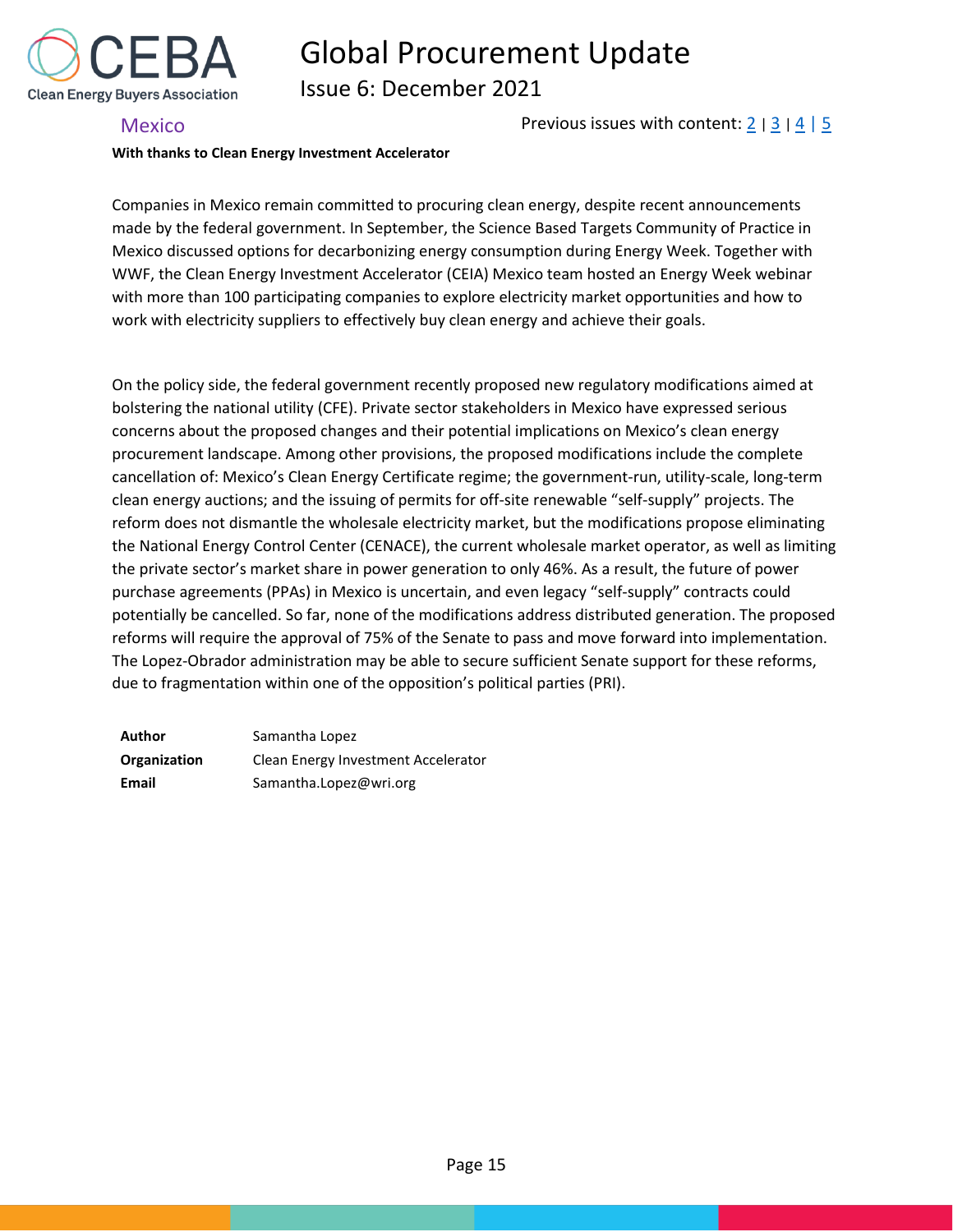

Issue 6: December 2021

## <span id="page-15-0"></span>Mexico **Previous issues with content:**  $\frac{2}{3}$  $\frac{2}{3}$  $\frac{2}{3}$  |  $\frac{4}{5}$  $\frac{4}{5}$  $\frac{4}{5}$  $\frac{4}{5}$  $\frac{4}{5}$

### **With thanks to Clean Energy Investment Accelerator**

Companies in Mexico remain committed to procuring clean energy, despite recent announcements made by the federal government. In September, the Science Based Targets Community of Practice in Mexico discussed options for decarbonizing energy consumption during Energy Week. Together with WWF, the Clean Energy Investment Accelerator (CEIA) Mexico team hosted an Energy Week webinar with more than 100 participating companies to explore electricity market opportunities and how to work with electricity suppliers to effectively buy clean energy and achieve their goals.

On the policy side, the federal government recently proposed new regulatory modifications aimed at bolstering the national utility (CFE). Private sector stakeholders in Mexico have expressed serious concerns about the proposed changes and their potential implications on Mexico's clean energy procurement landscape. Among other provisions, the proposed modifications include the complete cancellation of: Mexico's Clean Energy Certificate regime; the government-run, utility-scale, long-term clean energy auctions; and the issuing of permits for off-site renewable "self-supply" projects. The reform does not dismantle the wholesale electricity market, but the modifications propose eliminating the National Energy Control Center (CENACE), the current wholesale market operator, as well as limiting the private sector's market share in power generation to only 46%. As a result, the future of power purchase agreements (PPAs) in Mexico is uncertain, and even legacy "self-supply" contracts could potentially be cancelled. So far, none of the modifications address distributed generation. The proposed reforms will require the approval of 75% of the Senate to pass and move forward into implementation. The Lopez-Obrador administration may be able to secure sufficient Senate support for these reforms, due to fragmentation within one of the opposition's political parties (PRI).

| Author       | Samantha Lopez                      |  |  |  |
|--------------|-------------------------------------|--|--|--|
| Organization | Clean Energy Investment Accelerator |  |  |  |
| Email        | Samantha.Lopez@wri.org              |  |  |  |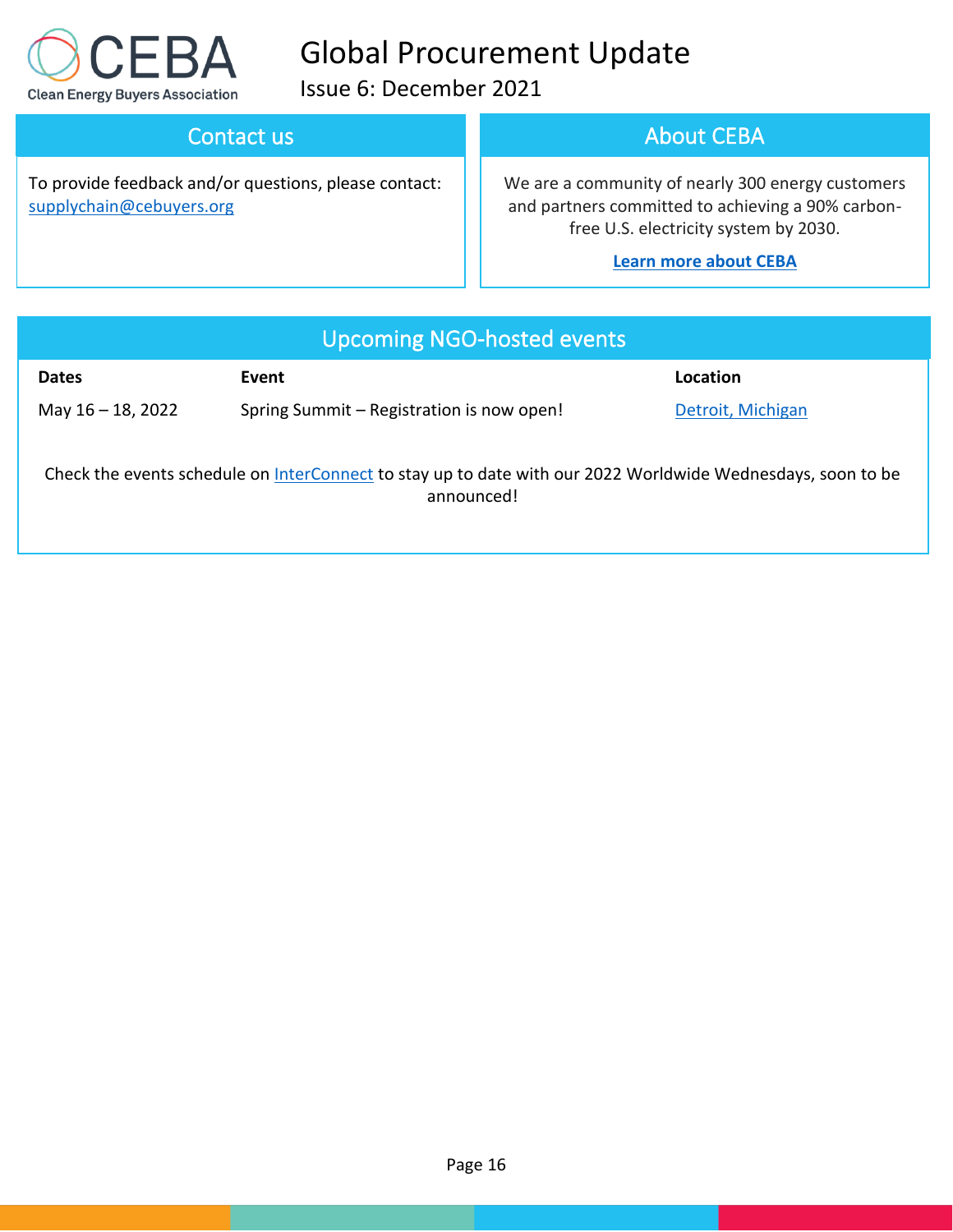

Issue 6: December 2021

# Contact us

To provide feedback and/or questions, please contact: [supplychain@cebuyers.org](mailto:supplychain@cebuyers.org)

# About CEBA

We are a community of nearly 300 energy customers and partners committed to achieving a 90% carbonfree U.S. electricity system by 2030.

# **[Learn more about CEBA](https://cebuyers.org/)**

| Upcoming NGO-hosted events                                                                                                |                                           |                   |  |  |
|---------------------------------------------------------------------------------------------------------------------------|-------------------------------------------|-------------------|--|--|
| <b>Dates</b>                                                                                                              | Event                                     | Location          |  |  |
| May $16 - 18$ , 2022                                                                                                      | Spring Summit - Registration is now open! | Detroit, Michigan |  |  |
| Check the events schedule on InterConnect to stay up to date with our 2022 Worldwide Wednesdays, soon to be<br>announced! |                                           |                   |  |  |